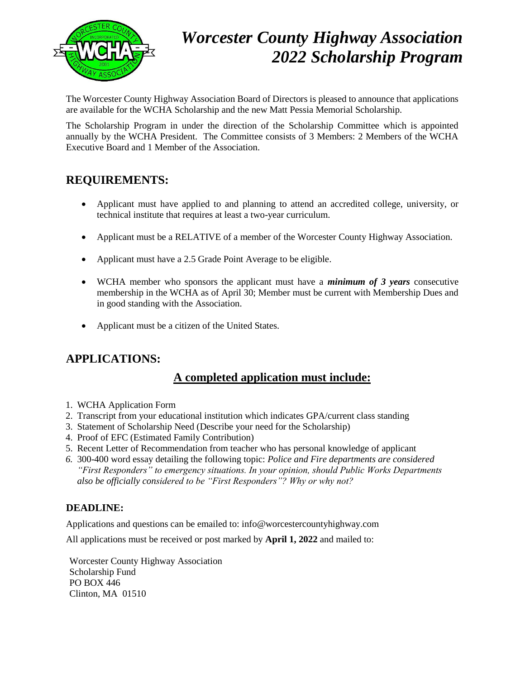

# *Worcester County Highway Association 2022 Scholarship Program*

The Worcester County Highway Association Board of Directors is pleased to announce that applications are available for the WCHA Scholarship and the new Matt Pessia Memorial Scholarship.

The Scholarship Program in under the direction of the Scholarship Committee which is appointed annually by the WCHA President. The Committee consists of 3 Members: 2 Members of the WCHA Executive Board and 1 Member of the Association.

#### **REQUIREMENTS:**

- Applicant must have applied to and planning to attend an accredited college, university, or technical institute that requires at least a two-year curriculum.
- Applicant must be a RELATIVE of a member of the Worcester County Highway Association.
- Applicant must have a 2.5 Grade Point Average to be eligible.
- WCHA member who sponsors the applicant must have a *minimum of 3 years* consecutive membership in the WCHA as of April 30; Member must be current with Membership Dues and in good standing with the Association.
- Applicant must be a citizen of the United States.

### **APPLICATIONS:**

#### **A completed application must include:**

- 1. WCHA Application Form
- 2. Transcript from your educational institution which indicates GPA/current class standing
- 3. Statement of Scholarship Need (Describe your need for the Scholarship)
- 4. Proof of EFC (Estimated Family Contribution)
- 5. Recent Letter of Recommendation from teacher who has personal knowledge of applicant
- *6.* 300-400 word essay detailing the following topic: *Police and Fire departments are considered "First Responders" to emergency situations. In your opinion, should Public Works Departments also be officially considered to be "First Responders"? Why or why not?*

#### **DEADLINE:**

Applications and questions can be emailed to: info@worcestercountyhighway.com

All applications must be received or post marked by **April 1, 2022** and mailed to:

Worcester County Highway Association Scholarship Fund PO BOX 446 Clinton, MA 01510